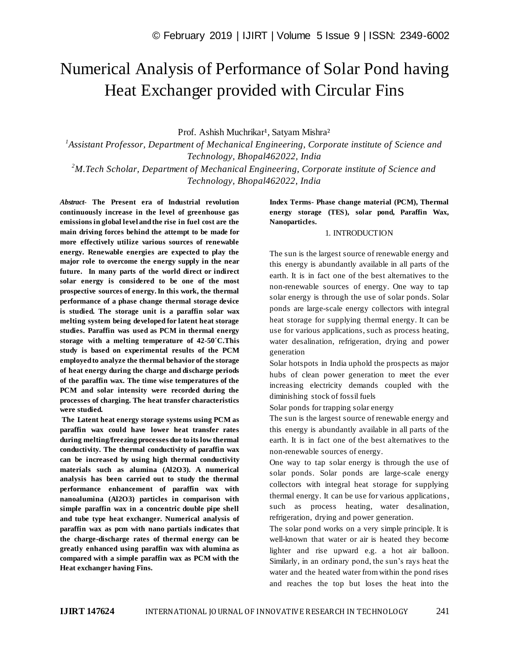# Numerical Analysis of Performance of Solar Pond having Heat Exchanger provided with Circular Fins

Prof. Ashish Muchrikar<sup>1</sup>, Satyam Mishra<sup>2</sup>

<sup>1</sup> Assistant Professor, Department of Mechanical Engineering, Corporate institute of Science and *Technology, Bhopal462022, India*

*<sup>2</sup>M.Tech Scholar, Department of Mechanical Engineering, Corporate institute of Science and Technology, Bhopal462022, India*

*Abstract*- **The Present era of Industrial revolution continuously increase in the level of greenhouse gas emissions in global level and the rise in fuel cost are the main driving forces behind the attempt to be made for more effectively utilize various sources of renewable energy. Renewable energies are expected to play the major role to overcome the energy supply in the near future. In many parts of the world direct or indirect solar energy is considered to be one of the most prospective sources of energy. In this work, the thermal performance of a phase change thermal storage device is studied. The storage unit is a paraffin solar wax melting system being developed for latent heat storage studies. Paraffin was used as PCM in thermal energy storage with a melting temperature of 42-50´C.This study is based on experimental results of the PCM employed to analyze the thermal behavior of the storage of heat energy during the charge and discharge periods of the paraffin wax. The time wise temperatures of the PCM and solar intensity were recorded during the processes of charging. The heat transfer characteristics were studied.**

**The Latent heat energy storage systems using PCM as paraffin wax could have lower heat transfer rates during melting/freezing processes due to its low thermal conductivity. The thermal conductivity of paraffin wax can be increased by using high thermal conductivity materials such as alumina (Al2O3). A numerical analysis has been carried out to study the thermal performance enhancement of paraffin wax with nanoalumina (Al2O3) particles in comparison with simple paraffin wax in a concentric double pipe shell and tube type heat exchanger. Numerical analysis of paraffin wax as pcm with nano partials indicates that the charge-discharge rates of thermal energy can be greatly enhanced using paraffin wax with alumina as compared with a simple paraffin wax as PCM with the Heat exchanger having Fins.**

### **Index Terms- Phase change material (PCM), Thermal energy storage (TES), solar pond, Paraffin Wax, Nanoparticles.**

#### 1. INTRODUCTION

The sun is the largest source of renewable energy and this energy is abundantly available in all parts of the earth. It is in fact one of the best alternatives to the non-renewable sources of energy. One way to tap solar energy is through the use of solar ponds. Solar ponds are large-scale energy collectors with integral heat storage for supplying thermal energy. It can be use for various applications, such as process heating, water desalination, refrigeration, drying and power generation

Solar hotspots in India uphold the prospects as major hubs of clean power generation to meet the ever increasing electricity demands coupled with the diminishing stock of fossil fuels

Solar ponds for trapping solar energy

The sun is the largest source of renewable energy and this energy is abundantly available in all parts of the earth. It is in fact one of the best alternatives to the non-renewable sources of energy.

One way to tap solar energy is through the use of solar ponds. Solar ponds are large-scale energy collectors with integral heat storage for supplying thermal energy. It can be use for various applications, such as process heating, water desalination, refrigeration, drying and power generation.

The solar pond works on a very simple principle. It is well-known that water or air is heated they become lighter and rise upward e.g. a hot air balloon. Similarly, in an ordinary pond, the sun's rays heat the water and the heated water from within the pond rises and reaches the top but loses the heat into the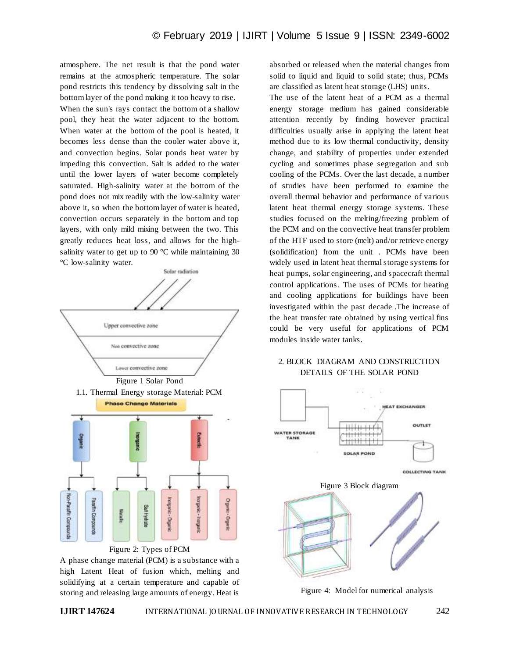atmosphere. The net result is that the pond water remains at the atmospheric temperature. The solar pond restricts this tendency by dissolving salt in the bottom layer of the pond making it too heavy to rise. When the sun's rays contact the bottom of a shallow pool, they heat the water adjacent to the bottom. When water at the bottom of the pool is heated, it becomes less dense than the cooler water above it, and convection begins. Solar ponds heat water by impeding this convection. Salt is added to the water until the lower layers of water become completely saturated. High-salinity water at the bottom of the pond does not mix readily with the low-salinity water above it, so when the bottom layer of water is heated, convection occurs separately in the bottom and top layers, with only mild mixing between the two. This greatly reduces heat loss, and allows for the highsalinity water to get up to 90  $^{\circ}$ C while maintaining 30 °C low-salinity water.



A phase change material (PCM) is a substance with a high Latent Heat of fusion which, melting and solidifying at a certain temperature and capable of storing and releasing large amounts of energy. Heat is

absorbed or released when the material changes from solid to liquid and liquid to solid state; thus, PCMs are classified as latent heat storage (LHS) units.

The use of the latent heat of a PCM as a thermal energy storage medium has gained considerable attention recently by finding however practical difficulties usually arise in applying the latent heat method due to its low thermal conductivity, density change, and stability of properties under extended cycling and sometimes phase segregation and sub cooling of the PCMs. Over the last decade, a number of studies have been performed to examine the overall thermal behavior and performance of various latent heat thermal energy storage systems. These studies focused on the melting/freezing problem of the PCM and on the convective heat transfer problem of the HTF used to store (melt) and/or retrieve energy (solidification) from the unit . PCMs have been widely used in latent heat thermal storage systems for heat pumps, solar engineering, and spacecraft thermal control applications. The uses of PCMs for heating and cooling applications for buildings have been investigated within the past decade .The increase of the heat transfer rate obtained by using vertical fins could be very useful for applications of PCM modules inside water tanks.

# 2. BLOCK DIAGRAM AND CONSTRUCTION DETAILS OF THE SOLAR POND



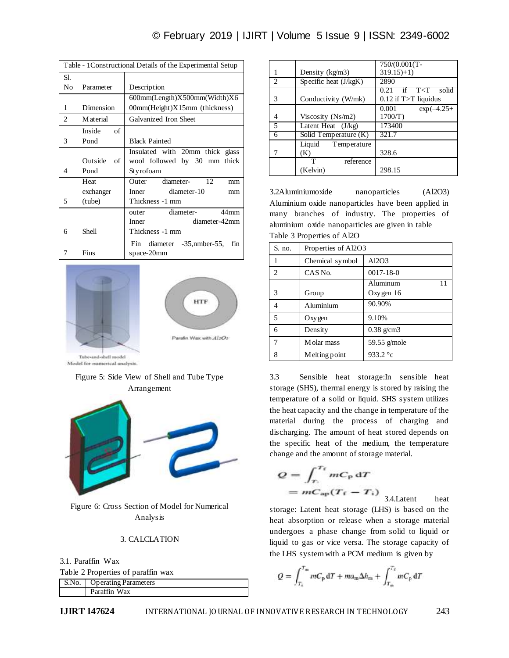# © February 2019 | IJIRT | Volume 5 Issue 9 | ISSN: 2349-6002

|                | Table - 1Constructional Details of the Experimental Setup |                                          |  |  |  |
|----------------|-----------------------------------------------------------|------------------------------------------|--|--|--|
| Sl.            |                                                           |                                          |  |  |  |
| No             | Parameter                                                 | Description                              |  |  |  |
|                |                                                           | 600mm(Length)X500mm(Width)X6             |  |  |  |
| 1              | Dimension                                                 | $00mm$ (Height) $X15mm$ (thickness)      |  |  |  |
| $\overline{2}$ | M aterial                                                 | Galvanized Iron Sheet                    |  |  |  |
|                | Inside<br>of                                              |                                          |  |  |  |
| 3              | Pond                                                      | <b>Black Painted</b>                     |  |  |  |
|                |                                                           | Insulated with 20mm thick glass          |  |  |  |
|                | Outside<br>of                                             | wool followed by 30 mm<br>thick          |  |  |  |
| 4              | Pond                                                      | Styrofoam                                |  |  |  |
|                | Heat                                                      | diameter-<br>12<br>Outer<br>mm           |  |  |  |
|                | exchanger                                                 | diameter-10<br>Inner<br>mm               |  |  |  |
| 5              | (tube)                                                    | Thickness -1 mm                          |  |  |  |
|                |                                                           | diameter-<br>44mm<br>outer               |  |  |  |
|                |                                                           | diameter-42mm<br>Inner                   |  |  |  |
| 6              | Shell                                                     | Thickness -1 mm                          |  |  |  |
|                |                                                           | diameter $-35$ , nmber-55,<br>Fin<br>fin |  |  |  |
| 7              | Fins                                                      | space-20mm                               |  |  |  |



Model for numerical analysis.

## Figure 5: Side View of Shell and Tube Type Arrangement



Figure 6: Cross Section of Model for Numerical Analysis

### 3. CALCLATION

3.1. Paraffin Wax

|  |  |  |  | Table 2 Properties of paraffin wax |  |
|--|--|--|--|------------------------------------|--|
|--|--|--|--|------------------------------------|--|

| S.No.   Operating Parameters |  |
|------------------------------|--|
| Paraffin Wax                 |  |
|                              |  |

| 1 | Density $(kg/m3)$       | $319.15+1$                   |
|---|-------------------------|------------------------------|
| 2 | Specific heat $(J/kgK)$ | 2890                         |
|   |                         | T < T<br>if<br>solid<br>0.21 |
| 3 | Conductivity (W/mk)     | $0.12$ if T $>T$ liquidus    |
|   |                         | 0.001<br>$exp(-4.25+)$       |
| 4 | Viscosity $(Ns/m2)$     | 1700/T)                      |
| 5 | Latent Heat $(J/kg)$    | 173400                       |
| 6 | Solid Temperature (K)   | 321.7                        |
|   | Liquid<br>Temperature   |                              |
| 7 | (K)                     | 328.6                        |
|   | т<br>reference          |                              |
|   | (Kelvin)                | 298.15                       |

750/(0.001(T-

3.2Aluminiumoxide nanoparticles (Al2O3) Aluminium oxide nanoparticles have been applied in many branches of industry. The properties of aluminium oxide nanoparticles are given in table Table 3 Properties of Al2O

| S. no.         | Properties of Al2O3 |                 |  |
|----------------|---------------------|-----------------|--|
| 1              | Chemical symbol     | Al2O3           |  |
| $\mathfrak{D}$ | CAS No.             | $0017 - 18 - 0$ |  |
|                |                     | Aluminum        |  |
| 3              | Group               | Oxygen 16       |  |
| 4              | Aluminium           | 90.90%          |  |
| 5              | Oxy gen             | 9.10%           |  |
| 6              | Density             | $0.38$ g/cm $3$ |  |
| 7              | Molar mass          | 59.55 g/mole    |  |
| 8              | Melting point       | 933.2 °c        |  |

3.3 Sensible heat storage:In sensible heat storage (SHS), thermal energy is stored by raising the temperature of a solid or liquid. SHS system utilizes the heat capacity and the change in temperature of the material during the process of charging and discharging. The amount of heat stored depends on the specific heat of the medium, the temperature change and the amount of storage material.

$$
Q = \int_{T_i}^{T_f} mC_p \, dT
$$

$$
= mC_{ap}(T_f - T_i)
$$

3.4.Latent heat storage: Latent heat storage (LHS) is based on the heat absorption or release when a storage material undergoes a phase change from solid to liquid or liquid to gas or vice versa. The storage capacity of the LHS system with a PCM medium is given by

$$
Q = \int_{T_1}^{T_m} mC_p dT + ma_m \Delta h_m + \int_{T_m}^{T_f} mC_p dT
$$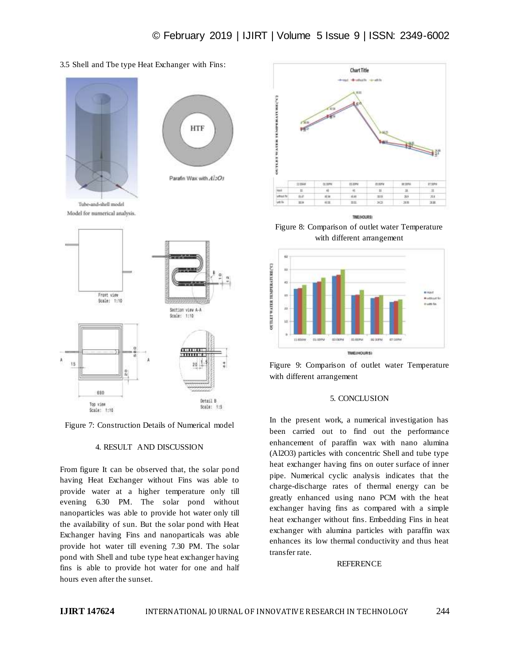3.5 Shell and Tbe type Heat Exchanger with Fins:



Figure 7: Construction Details of Numerical model

#### 4. RESULT AND DISCUSSION

From figure It can be observed that, the solar pond having Heat Exchanger without Fins was able to provide water at a higher temperature only till evening 6.30 PM. The solar pond without nanoparticles was able to provide hot water only till the availability of sun. But the solar pond with Heat Exchanger having Fins and nanoparticals was able provide hot water till evening 7.30 PM. The solar pond with Shell and tube type heat exchanger having fins is able to provide hot water for one and half hours even after the sunset.



Figure 8: Comparison of outlet water Temperature with different arrangement





#### 5. CONCLUSION

In the present work, a numerical investigation has been carried out to find out the performance enhancement of paraffin wax with nano alumina (Al2O3) particles with concentric Shell and tube type heat exchanger having fins on outer surface of inner pipe. Numerical cyclic analysis indicates that the charge-discharge rates of thermal energy can be greatly enhanced using nano PCM with the heat exchanger having fins as compared with a simple heat exchanger without fins. Embedding Fins in heat exchanger with alumina particles with paraffin wax enhances its low thermal conductivity and thus heat transfer rate.

#### REFERENCE